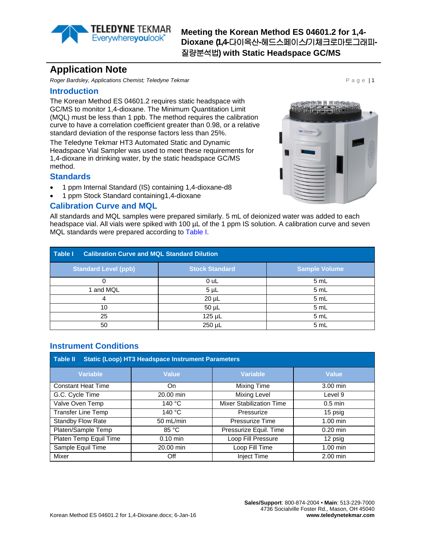

**Meeting the Korean Method ES 04601.2 for 1,4- Dioxane (1,4-**다이옥산**-**헤드스페이스**/**기체크로마토그래피**-**질량분석법**) with Static Headspace GC/MS**

# **Application Note**

**Roger Bardsley, Applications Chemist; Teledyne Tekmar Page 11 and Page 11 and Page 11 and Page 11** 

#### **Introduction**

The Korean Method ES 04601.2 requires static headspace with GC/MS to monitor 1,4-dioxane. The Minimum Quantitation Limit (MQL) must be less than 1 ppb. The method requires the calibration curve to have a correlation coefficient greater than 0.98, or a relative standard deviation of the response factors less than 25%.

The Teledyne Tekmar HT3 Automated Static and Dynamic Headspace Vial Sampler was used to meet these requirements for 1,4-dioxane in drinking water, by the static headspace GC/MS method.

#### **Standards**

- 1 ppm Internal Standard (IS) containing 1,4-dioxane-d8
- 1 ppm Stock Standard containing1,4-dioxane

#### **Calibration Curve and MQL**

All standards and MQL samples were prepared similarly. 5 mL of deionized water was added to each headspace vial. All vials were spiked with 100 µL of the 1 ppm IS solution. A calibration curve and seven MQL standards were prepared according to [Table I.](#page-0-0)

<span id="page-0-0"></span>

| Table I<br><b>Calibration Curve and MQL Standard Dilution</b> |                       |                      |  |  |  |
|---------------------------------------------------------------|-----------------------|----------------------|--|--|--|
| <b>Standard Level (ppb)</b>                                   | <b>Stock Standard</b> | <b>Sample Volume</b> |  |  |  |
|                                                               | 0 uL                  | 5 mL                 |  |  |  |
| 1 and MQL                                                     | $5 \mu L$             | 5 mL                 |  |  |  |
|                                                               | $20 \mu L$            | 5 mL                 |  |  |  |
| 10                                                            | $50 \mu L$            | 5 mL                 |  |  |  |
| 25                                                            | 125 µL                | 5 mL                 |  |  |  |
| 50                                                            | 250 µL                | 5 mL                 |  |  |  |

### **Instrument Conditions**

| <b>Static (Loop) HT3 Headspace Instrument Parameters</b><br><b>Table II</b> |              |                                 |                    |  |  |  |  |  |  |
|-----------------------------------------------------------------------------|--------------|---------------------------------|--------------------|--|--|--|--|--|--|
| <b>Variable</b>                                                             | <b>Value</b> | <b>Variable</b>                 | Value              |  |  |  |  |  |  |
| <b>Constant Heat Time</b>                                                   | On.          | Mixing Time                     | 3.00 min           |  |  |  |  |  |  |
| G.C. Cycle Time                                                             | 20.00 min    | <b>Mixing Level</b>             | Level 9            |  |  |  |  |  |  |
| Valve Oven Temp                                                             | 140 °C       | <b>Mixer Stabilization Time</b> | $0.5$ min          |  |  |  |  |  |  |
| <b>Transfer Line Temp</b><br>140 °C                                         |              | Pressurize                      | 15 psig            |  |  |  |  |  |  |
| 50 mL/min<br>Standby Flow Rate                                              |              | Pressurize Time                 | $1.00 \text{ min}$ |  |  |  |  |  |  |
| Platen/Sample Temp                                                          | 85 °C        | Pressurize Equil. Time          | $0.20$ min         |  |  |  |  |  |  |
| Platen Temp Equil Time                                                      | $0.10$ min   |                                 | 12 psig            |  |  |  |  |  |  |
| Sample Equil Time                                                           | 20.00 min    | Loop Fill Time                  | $1.00$ min         |  |  |  |  |  |  |
| <b>Mixer</b><br>Off                                                         |              | <b>Inject Time</b>              | $2.00$ min         |  |  |  |  |  |  |

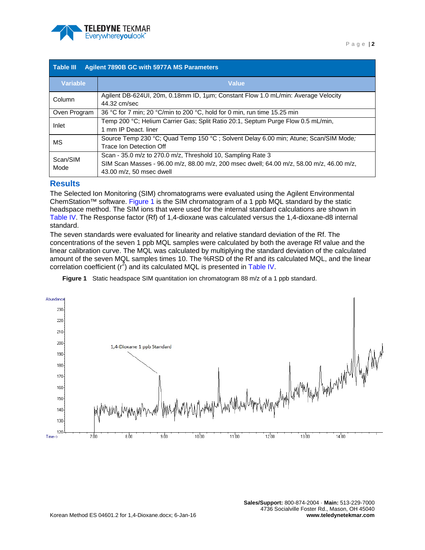

| <b>Agilent 7890B GC with 5977A MS Parameters</b><br><b>Table III</b> |                                                                                                                                                                                     |  |  |  |  |
|----------------------------------------------------------------------|-------------------------------------------------------------------------------------------------------------------------------------------------------------------------------------|--|--|--|--|
| <b>Variable</b>                                                      | <b>Value</b>                                                                                                                                                                        |  |  |  |  |
| Column                                                               | Agilent DB-624UI, 20m, 0.18mm ID, 1µm; Constant Flow 1.0 mL/min: Average Velocity<br>44.32 cm/sec                                                                                   |  |  |  |  |
| Oven Program                                                         | 36 °C for 7 min; 20 °C/min to 200 °C, hold for 0 min, run time 15.25 min                                                                                                            |  |  |  |  |
| Inlet                                                                | Temp 200 °C; Helium Carrier Gas; Split Ratio 20:1, Septum Purge Flow 0.5 mL/min,<br>1 mm IP Deact, liner                                                                            |  |  |  |  |
| МS                                                                   | Source Temp 230 °C; Quad Temp 150 °C ; Solvent Delay 6.00 min; Atune; Scan/SIM Mode;<br>Trace Ion Detection Off                                                                     |  |  |  |  |
| Scan/SIM<br>Mode                                                     | Scan - 35.0 m/z to 270.0 m/z, Threshold 10, Sampling Rate 3<br>SIM Scan Masses - 96.00 m/z, 88.00 m/z, 200 msec dwell; 64.00 m/z, 58.00 m/z, 46.00 m/z,<br>43.00 m/z, 50 msec dwell |  |  |  |  |

## **Results**

The Selected Ion Monitoring (SIM) chromatograms were evaluated using the Agilent Environmental ChemStation™ software. [Figure 1](#page-1-0) is the SIM chromatogram of a 1 ppb MQL standard by the static headspace method. The SIM ions that were used for the internal standard calculations are shown in [Table IV.](#page-2-0) The Response factor (Rf) of 1,4-dioxane was calculated versus the 1,4-dioxane-d8 internal standard.

The seven standards were evaluated for linearity and relative standard deviation of the Rf. The concentrations of the seven 1 ppb MQL samples were calculated by both the average Rf value and the linear calibration curve. The MQL was calculated by multiplying the standard deviation of the calculated amount of the seven MQL samples times 10. The %RSD of the Rf and its calculated MQL, and the linear correlation coefficient  $(r^2)$  and its calculated MQL is presented in [Table IV.](#page-2-0)

<span id="page-1-0"></span>**Figure 1** Static headspace SIM quantitation ion chromatogram 88 m/z of a 1 ppb standard.